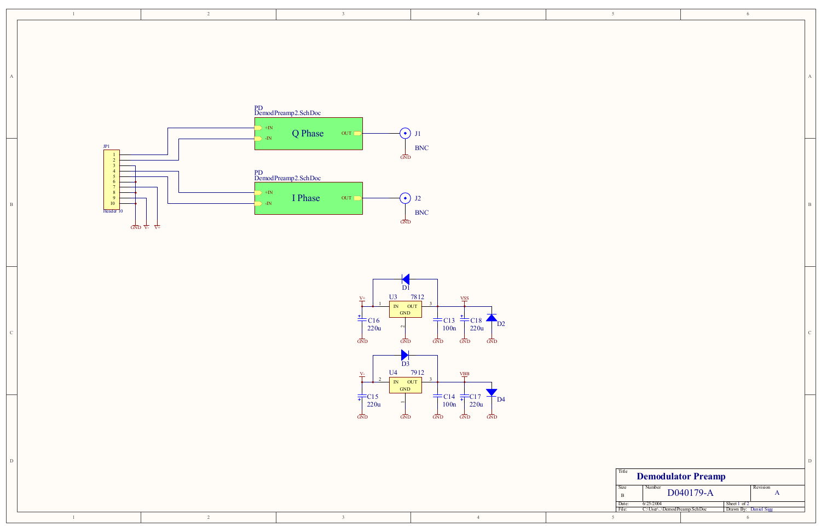6

D

C

D Title Size $\mathbb{R}^{\text{e}}$  Number  $\text{D040179-A}$  Revision Revision BDate:  $6/25/2004$  Sheet 1 of 1 of 2<br>1 By: Daniel Sigg File: C:\User\..\DemodPreamp.SchDoc | Drawn By: **Demodulator Preamp** A